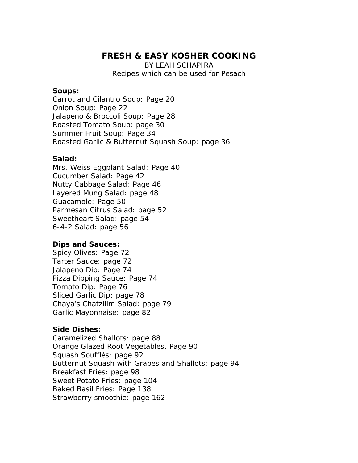# **FRESH & EASY KOSHER COOKING**

BY LEAH SCHAPIRA Recipes which can be used for Pesach

#### **Soups:**

Carrot and Cilantro Soup: Page 20 Onion Soup: Page 22 Jalapeno & Broccoli Soup: Page 28 Roasted Tomato Soup: page 30 Summer Fruit Soup: Page 34 Roasted Garlic & Butternut Squash Soup: page 36

### **Salad:**

Mrs. Weiss Eggplant Salad: Page 40 Cucumber Salad: Page 42 Nutty Cabbage Salad: Page 46 Layered Mung Salad: page 48 Guacamole: Page 50 Parmesan Citrus Salad: page 52 Sweetheart Salad: page 54 6-4-2 Salad: page 56

## **Dips and Sauces:**

Spicy Olives: Page 72 Tarter Sauce: page 72 Jalapeno Dip: Page 74 Pizza Dipping Sauce: Page 74 Tomato Dip: Page 76 Sliced Garlic Dip: page 78 Chaya's Chatzilim Salad: page 79 Garlic Mayonnaise: page 82

## **Side Dishes:**

Caramelized Shallots: page 88 Orange Glazed Root Vegetables. Page 90 Squash Soufflés: page 92 Butternut Squash with Grapes and Shallots: page 94 Breakfast Fries: page 98 Sweet Potato Fries: page 104 Baked Basil Fries: Page 138 Strawberry smoothie: page 162